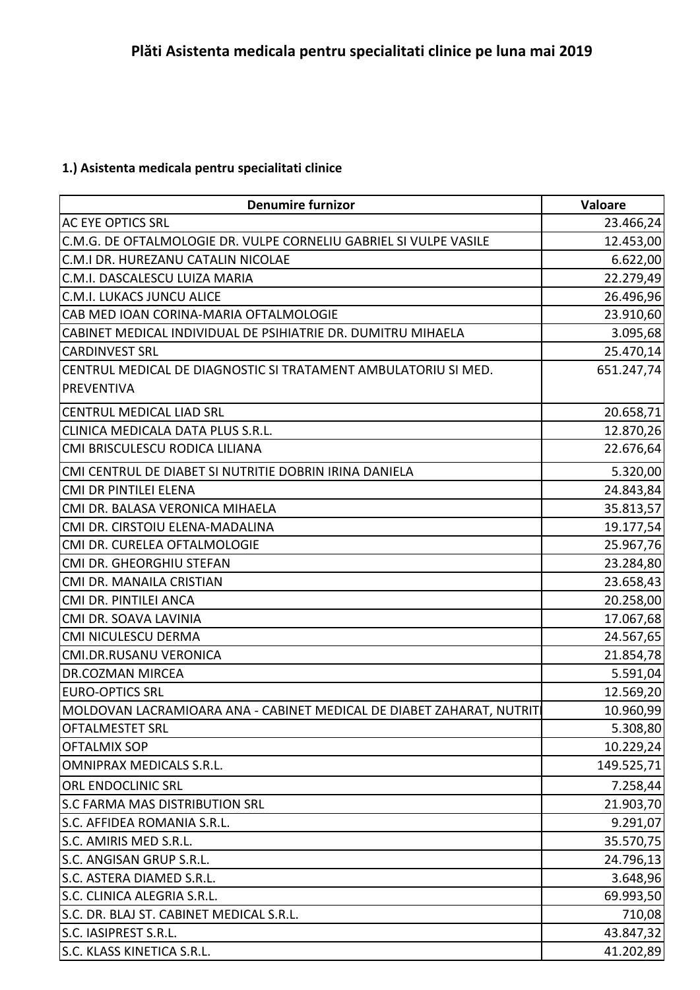## **1.) Asistenta medicala pentru specialitati clinice**

| <b>Denumire furnizor</b>                                             | Valoare    |
|----------------------------------------------------------------------|------------|
| AC EYE OPTICS SRL                                                    | 23.466,24  |
| C.M.G. DE OFTALMOLOGIE DR. VULPE CORNELIU GABRIEL SI VULPE VASILE    | 12.453,00  |
| C.M.I DR. HUREZANU CATALIN NICOLAE                                   | 6.622,00   |
| C.M.I. DASCALESCU LUIZA MARIA                                        | 22.279,49  |
| C.M.I. LUKACS JUNCU ALICE                                            | 26.496,96  |
| CAB MED IOAN CORINA-MARIA OFTALMOLOGIE                               | 23.910,60  |
| CABINET MEDICAL INDIVIDUAL DE PSIHIATRIE DR. DUMITRU MIHAELA         | 3.095,68   |
| <b>CARDINVEST SRL</b>                                                | 25.470,14  |
| CENTRUL MEDICAL DE DIAGNOSTIC SI TRATAMENT AMBULATORIU SI MED.       | 651.247,74 |
| <b>PREVENTIVA</b>                                                    |            |
| CENTRUL MEDICAL LIAD SRL                                             | 20.658,71  |
| CLINICA MEDICALA DATA PLUS S.R.L.                                    | 12.870,26  |
| CMI BRISCULESCU RODICA LILIANA                                       | 22.676,64  |
| CMI CENTRUL DE DIABET SI NUTRITIE DOBRIN IRINA DANIELA               | 5.320,00   |
| CMI DR PINTILEI ELENA                                                | 24.843,84  |
| CMI DR. BALASA VERONICA MIHAELA                                      | 35.813,57  |
| CMI DR. CIRSTOIU ELENA-MADALINA                                      | 19.177,54  |
| CMI DR. CURELEA OFTALMOLOGIE                                         | 25.967,76  |
| CMI DR. GHEORGHIU STEFAN                                             | 23.284,80  |
| CMI DR. MANAILA CRISTIAN                                             | 23.658,43  |
| CMI DR. PINTILEI ANCA                                                | 20.258,00  |
| CMI DR. SOAVA LAVINIA                                                | 17.067,68  |
| CMI NICULESCU DERMA                                                  | 24.567,65  |
| CMI.DR.RUSANU VERONICA                                               | 21.854,78  |
| <b>DR.COZMAN MIRCEA</b>                                              | 5.591,04   |
| <b>EURO-OPTICS SRL</b>                                               | 12.569,20  |
| MOLDOVAN LACRAMIOARA ANA - CABINET MEDICAL DE DIABET ZAHARAT, NUTRIT | 10.960,99  |
| <b>OFTALMESTET SRL</b>                                               | 5.308,80   |
| <b>OFTALMIX SOP</b>                                                  | 10.229,24  |
| <b>OMNIPRAX MEDICALS S.R.L.</b>                                      | 149.525,71 |
| ORL ENDOCLINIC SRL                                                   | 7.258,44   |
| S.C FARMA MAS DISTRIBUTION SRL                                       | 21.903,70  |
| S.C. AFFIDEA ROMANIA S.R.L.                                          | 9.291,07   |
| S.C. AMIRIS MED S.R.L.                                               | 35.570,75  |
| S.C. ANGISAN GRUP S.R.L.                                             | 24.796,13  |
| S.C. ASTERA DIAMED S.R.L.                                            | 3.648,96   |
| S.C. CLINICA ALEGRIA S.R.L.                                          | 69.993,50  |
| S.C. DR. BLAJ ST. CABINET MEDICAL S.R.L.                             | 710,08     |
| S.C. IASIPREST S.R.L.                                                | 43.847,32  |
| S.C. KLASS KINETICA S.R.L.                                           | 41.202,89  |